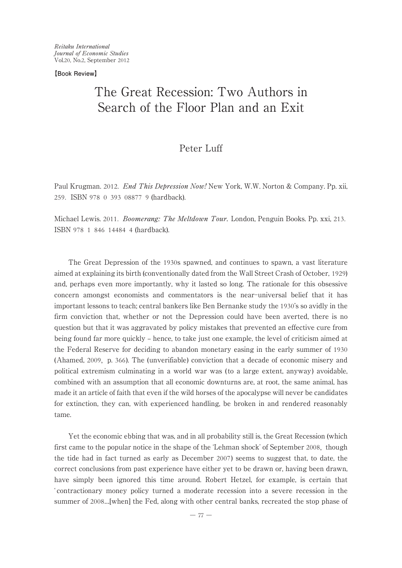**【Book Review】**

# The Great Recession: Two Authors in Search of the Floor Plan and an Exit

# Peter Luff

Paul Krugman. 2012. End This Depression Now! New York, W.W. Norton & Company. Pp. xii, 259. ISBN 978 0 393 08877 9 (hardback).

Michael Lewis. 2011. *Boomerang: The Meltdown Tour.* London, Penguin Books. Pp. xxi, 213. ISBN 978 1 846 14484 4 (hardback).

The Great Depression of the 1930s spawned, and continues to spawn, a vast literature aimed at explaining its birth (conventionally dated from the Wall Street Crash of October, 1929) and, perhaps even more importantly, why it lasted so long. The rationale for this obsessive concern amongst economists and commentators is the near-universal belief that it has important lessons to teach; central bankers like Ben Bernanke study the 1930's so avidly in the firm conviction that, whether or not the Depression could have been averted, there is no question but that it was aggravated by policy mistakes that prevented an effective cure from being found far more quickly – hence, to take just one example, the level of criticism aimed at the Federal Reserve for deciding to abandon monetary easing in the early summer of 1930 (Ahamed, 2009, p. 366). The (unverifiable) conviction that a decade of economic misery and political extremism culminating in a world war was ( to a large extent, anyway) avoidable, combined with an assumption that all economic downturns are, at root, the same animal, has made it an article of faith that even if the wild horses of the apocalypse will never be candidates for extinction, they can, with experienced handling, be broken in and rendered reasonably tame.

Yet the economic ebbing that was, and in all probability still is, the Great Recession (which first came to the popular notice in the shape of the ʻLehman shock' of September 2008, though the tide had in fact turned as early as December 2007) seems to suggest that, to date, the correct conclusions from past experience have either yet to be drawn or, having been drawn, have simply been ignored this time around. Robert Hetzel, for example, is certain that ʻ contractionary money policy turned a moderate recession into a severe recession in the summer of 2008…[when] the Fed, along with other central banks, recreated the stop phase of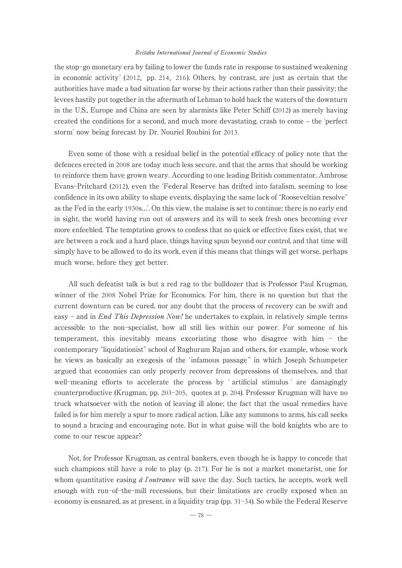the stop-go monetary era by failing to lower the funds rate in response to sustained weakening in economic activity' (2012, pp. 214, 216). Others, by contrast, are just as certain that the authorities have made a bad situation far worse by their actions rather than their passivity; the levees hastily put together in the aftermath of Lehman to hold back the waters of the downturn in the U.S., Europe and China are seen by alarmists like Peter Schiff (2012) as merely having created the conditions for a second, and much more devastating, crash to come – the 'perfect storm' now being forecast by Dr. Nouriel Roubini for 2013.

Even some of those with a residual belief in the potential efficacy of policy note that the defences erected in 2008 are today much less secure, and that the arms that should be working to reinforce them have grown weary. According to one leading British commentator, Ambrose Evans-Pritchard (2012), even the ʻFederal Reserve has drifted into fatalism, seeming to lose confidence in its own ability to shape events, displaying the same lack of "Rooseveltian resolve" as the Fed in the early 1930s…'. On this view, the malaise is set to continue; there is no early end in sight, the world having run out of answers and its will to seek fresh ones becoming ever more enfeebled. The temptation grows to confess that no quick or effective fixes exist, that we are between a rock and a hard place, things having spun beyond our control, and that time will simply have to be allowed to do its work, even if this means that things will get worse, perhaps much worse, before they get better.

All such defeatist talk is but a red rag to the bulldozer that is Professor Paul Krugman, winner of the 2008 Nobel Prize for Economics. For him, there is no question but that the current downturn can be cured, nor any doubt that the process of recovery can be swift and easy - and in *End This Depression Now!* he undertakes to explain, in relatively simple terms accessible to the non-specialist, how all still lies within our power. For someone of his temperament, this inevitably means excoriating those who disagree with him - the contemporary "liquidationist" school of Raghuram Rajan and others, for example, whose work he views as basically an exegesis of the ʻinfamous passage " in which Joseph Schumpeter argued that economies can only properly recover from depressions of themselves, and that well-meaning efforts to accelerate the process by ʻ artificial stimulus ' are damagingly counterproductive (Krugman, pp. 203-205, quotes at p. 204). Professor Krugman will have no truck whatsoever with the notion of leaving ill alone; the fact that the usual remedies have failed is for him merely a spur to more radical action. Like any summons to arms, his call seeks to sound a bracing and encouraging note. But in what guise will the bold knights who are to come to our rescue appear?

Not, for Professor Krugman, as central bankers, even though he is happy to concede that such champions still have a role to play (p. 217). For he is not a market monetarist, one for whom quantitative easing  $\acute{a}$  l'outrance will save the day. Such tactics, he accepts, work well enough with run-of-the-mill recessions, but their limitations are cruelly exposed when an economy is ensnared, as at present, in a liquidity trap (pp. 31-34). So while the Federal Reserve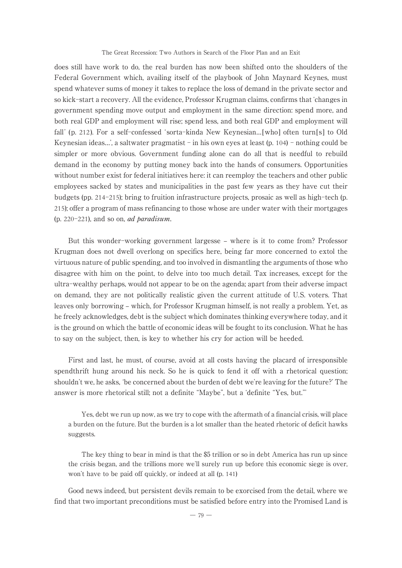The Great Recession: Two Authors in Search of the Floor Plan and an Exit

does still have work to do, the real burden has now been shifted onto the shoulders of the Federal Government which, availing itself of the playbook of John Maynard Keynes, must spend whatever sums of money it takes to replace the loss of demand in the private sector and so kick-start a recovery. All the evidence, Professor Krugman claims, confirms that ʻchanges in government spending move output and employment in the same direction: spend more, and both real GDP and employment will rise; spend less, and both real GDP and employment will fall' (p. 212). For a self-confessed 'sorta-kinda New Keynesian... [who] often turn[s] to Old Keynesian ideas...', a saltwater pragmatist - in his own eyes at least  $(p. 104)$  - nothing could be simpler or more obvious. Government funding alone can do all that is needful to rebuild demand in the economy by putting money back into the hands of consumers. Opportunities without number exist for federal initiatives here: it can reemploy the teachers and other public employees sacked by states and municipalities in the past few years as they have cut their budgets (pp. 214-215); bring to fruition infrastructure projects, prosaic as well as high-tech (p. 215); offer a program of mass refinancing to those whose are under water with their mortgages (p. 220-221), and so on, *ad paradisum*.

But this wonder-working government largesse – where is it to come from? Professor Krugman does not dwell overlong on specifics here, being far more concerned to extol the virtuous nature of public spending, and too involved in dismantling the arguments of those who disagree with him on the point, to delve into too much detail. Tax increases, except for the ultra-wealthy perhaps, would not appear to be on the agenda; apart from their adverse impact on demand, they are not politically realistic given the current attitude of U.S. voters. That leaves only borrowing – which, for Professor Krugman himself, is not really a problem. Yet, as he freely acknowledges, debt is the subject which dominates thinking everywhere today, and it is the ground on which the battle of economic ideas will be fought to its conclusion. What he has to say on the subject, then, is key to whether his cry for action will be heeded.

First and last, he must, of course, avoid at all costs having the placard of irresponsible spendthrift hung around his neck. So he is quick to fend it off with a rhetorical question; shouldn't we, he asks, ʻbe concerned about the burden of debt we're leaving for the future?' The answer is more rhetorical still; not a definite "Maybe", but a ʻdefinite "Yes, but."'

Yes, debt we run up now, as we try to cope with the aftermath of a financial crisis, will place a burden on the future. But the burden is a lot smaller than the heated rhetoric of deficit hawks suggests.

The key thing to bear in mind is that the \$5 trillion or so in debt America has run up since the crisis began, and the trillions more we'll surely run up before this economic siege is over, won't have to be paid off quickly, or indeed at all (p. 141)

Good news indeed, but persistent devils remain to be exorcised from the detail, where we find that two important preconditions must be satisfied before entry into the Promised Land is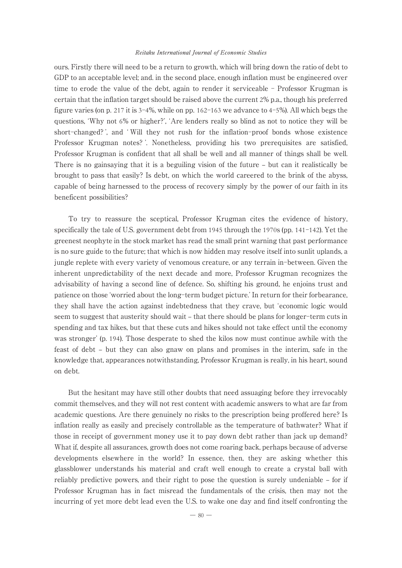ours. Firstly there will need to be a return to growth, which will bring down the ratio of debt to GDP to an acceptable level; and, in the second place, enough inflation must be engineered over time to erode the value of the debt, again to render it serviceable - Professor Krugman is certain that the inflation target should be raised above the current 2% p.a., though his preferred figure varies (on p. 217 it is 3-4%, while on pp. 162-163 we advance to 4-5%). All which begs the questions, ʻWhy not 6% or higher?', ʻAre lenders really so blind as not to notice they will be short-changed? ', and ʻ Will they not rush for the inflation-proof bonds whose existence Professor Krugman notes? '. Nonetheless, providing his two prerequisites are satisfied, Professor Krugman is confident that all shall be well and all manner of things shall be well. There is no gainsaying that it is a beguiling vision of the future – but can it realistically be brought to pass that easily? Is debt, on which the world careered to the brink of the abyss, capable of being harnessed to the process of recovery simply by the power of our faith in its beneficent possibilities?

To try to reassure the sceptical, Professor Krugman cites the evidence of history, specifically the tale of U.S. government debt from 1945 through the 1970s (pp. 141-142). Yet the greenest neophyte in the stock market has read the small print warning that past performance is no sure guide to the future; that which is now hidden may resolve itself into sunlit uplands, a jungle replete with every variety of venomous creature, or any terrain in-between. Given the inherent unpredictability of the next decade and more, Professor Krugman recognizes the advisability of having a second line of defence. So, shifting his ground, he enjoins trust and patience on those ʻworried about the long-term budget picture.' In return for their forbearance, they shall have the action against indebtedness that they crave, but ʻeconomic logic would seem to suggest that austerity should wait – that there should be plans for longer-term cuts in spending and tax hikes, but that these cuts and hikes should not take effect until the economy was stronger' (p. 194). Those desperate to shed the kilos now must continue awhile with the feast of debt ‒ but they can also gnaw on plans and promises in the interim, safe in the knowledge that, appearances notwithstanding, Professor Krugman is really, in his heart, sound on debt.

But the hesitant may have still other doubts that need assuaging before they irrevocably commit themselves, and they will not rest content with academic answers to what are far from academic questions. Are there genuinely no risks to the prescription being proffered here? Is inflation really as easily and precisely controllable as the temperature of bathwater? What if those in receipt of government money use it to pay down debt rather than jack up demand? What if, despite all assurances, growth does not come roaring back, perhaps because of adverse developments elsewhere in the world? In essence, then, they are asking whether this glassblower understands his material and craft well enough to create a crystal ball with reliably predictive powers, and their right to pose the question is surely undeniable – for if Professor Krugman has in fact misread the fundamentals of the crisis, then may not the incurring of yet more debt lead even the U.S. to wake one day and find itself confronting the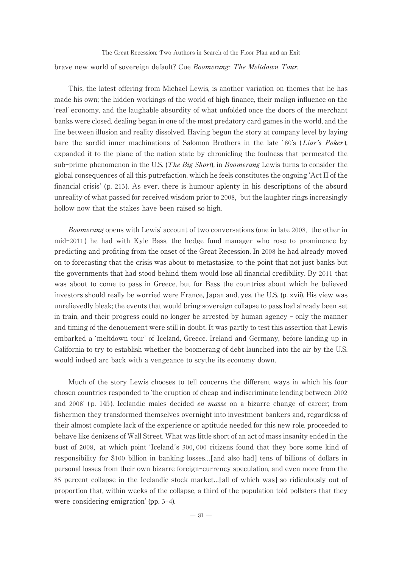brave new world of sovereign default? Cue Boomerang: The Meltdown Tour. The Great Recession: Two Authors in Search of the Floor Plan and an Exit

This, the latest offering from Michael Lewis, is another variation on themes that he has made his own; the hidden workings of the world of high finance, their malign influence on the ʻreal' economy, and the laughable absurdity of what unfolded once the doors of the merchant banks were closed, dealing began in one of the most predatory card games in the world, and the line between illusion and reality dissolved. Having begun the story at company level by laying bare the sordid inner machinations of Salomon Brothers in the late '80's (*Liar's Poker*), expanded it to the plane of the nation state by chronicling the foulness that permeated the sub-prime phenomenon in the U.S. (*The Big Short*), in *Boomerang* Lewis turns to consider the global consequences of all this putrefaction, which he feels constitutes the ongoing ʻAct II of the financial crisis' (p. 213). As ever, there is humour aplenty in his descriptions of the absurd unreality of what passed for received wisdom prior to 2008, but the laughter rings increasingly hollow now that the stakes have been raised so high.

Boomerang opens with Lewis' account of two conversations (one in late 2008, the other in mid-2011 ) he had with Kyle Bass, the hedge fund manager who rose to prominence by predicting and profiting from the onset of the Great Recession. In 2008 he had already moved on to forecasting that the crisis was about to metastasize, to the point that not just banks but the governments that had stood behind them would lose all financial credibility. By 2011 that was about to come to pass in Greece, but for Bass the countries about which he believed investors should really be worried were France, Japan and, yes, the U.S. (p. xvii). His view was unrelievedly bleak; the events that would bring sovereign collapse to pass had already been set in train, and their progress could no longer be arrested by human agency - only the manner and timing of the denouement were still in doubt. It was partly to test this assertion that Lewis embarked a ʻmeltdown tour' of Iceland, Greece, Ireland and Germany, before landing up in California to try to establish whether the boomerang of debt launched into the air by the U.S. would indeed arc back with a vengeance to scythe its economy down.

Much of the story Lewis chooses to tell concerns the different ways in which his four chosen countries responded to ʻthe eruption of cheap and indiscriminate lending between 2002 and 2008' (p. 145). Icelandic males decided *en masse* on a bizarre change of career; from fishermen they transformed themselves overnight into investment bankers and, regardless of their almost complete lack of the experience or aptitude needed for this new role, proceeded to behave like denizens of Wall Street. What was little short of an act of mass insanity ended in the bust of 2008, at which point ʻIceland's 300, 000 citizens found that they bore some kind of responsibility for \$100 billion in banking losses…[and also had] tens of billions of dollars in personal losses from their own bizarre foreign-currency speculation, and even more from the 85 percent collapse in the Icelandic stock market…[all of which was] so ridiculously out of proportion that, within weeks of the collapse, a third of the population told pollsters that they were considering emigration' (pp. 3-4).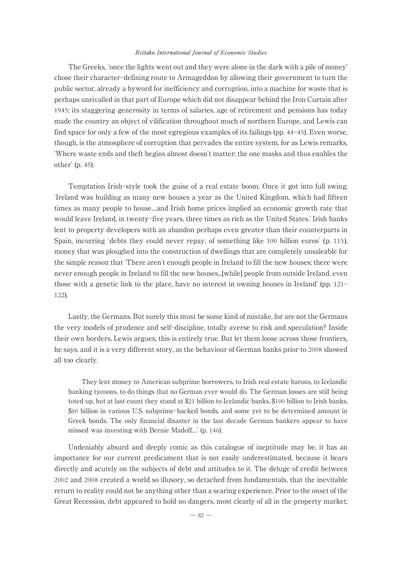The Greeks, ʻonce the lights went out and they were alone in the dark with a pile of money' chose their character-defining route to Armageddon by allowing their government to turn the public sector, already a byword for inefficiency and corruption, into a machine for waste that is perhaps unrivalled in that part of Europe which did not disappear behind the Iron Curtain after 1945; its staggering generosity in terms of salaries, age of retirement and pensions has today made the country an object of vilification throughout much of northern Europe, and Lewis can find space for only a few of the most egregious examples of its failings (pp. 44-45). Even worse, though, is the atmosphere of corruption that pervades the entire system, for as Lewis remarks, ʻWhere waste ends and theft begins almost doesn't matter; the one masks and thus enables the other' (p. 45).

Temptation Irish-style took the guise of a real estate boom. Once it got into full swing, ʻIreland was building as many new houses a year as the United Kingdom, which had fifteen times as many people to house…and Irish home prices implied an economic growth rate that would leave Ireland, in twenty-five years, three times as rich as the United States.' Irish banks lent to property developers with an abandon perhaps even greater than their counterparts in Spain, incurring ʻdebts they could never repay, of something like 100 billion euros' (p. 115), money that was ploughed into the construction of dwellings that are completely unsaleable for the simple reason that ʻThere aren't enough people in Ireland to fill the new houses; there were never enough people in Ireland to fill the new houses...[while] people from outside Ireland, even those with a genetic link to the place, have no interest in owning houses in Ireland' (pp. 121- 122).

Lastly, the Germans. But surely this must be some kind of mistake, for are not the Germans the very models of prudence and self-discipline, totally averse to risk and speculation? Inside their own borders, Lewis argues, this is entirely true. But let them loose across those frontiers, he says, and it is a very different story, as the behaviour of German banks prior to 2008 showed all too clearly.

They lent money to American subprime borrowers, to Irish real estate barons, to Icelandic banking tycoons, to do things that no German ever would do. The German losses are still being toted up, but at last count they stand at \$21 billion to Icelandic banks, \$100 billion to Irish banks, \$60 billion in various U.S. subprime-backed bonds, and some yet to be determined amount in Greek bonds. The only financial disaster in the last decade German bankers appear to have missed was investing with Bernie Madoff…' (p. 146).

Undeniably absurd and deeply comic as this catalogue of ineptitude may be, it has an importance for our current predicament that is not easily underestimated, because it bears directly and acutely on the subjects of debt and attitudes to it. The deluge of credit between 2002 and 2008 created a world so illusory, so detached from fundamentals, that the inevitable return to reality could not be anything other than a searing experience. Prior to the onset of the Great Recession, debt appeared to hold no dangers, most clearly of all in the property market;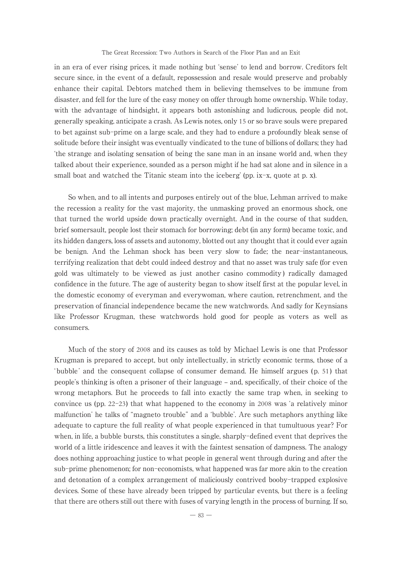#### The Great Recession: Two Authors in Search of the Floor Plan and an Exit

in an era of ever rising prices, it made nothing but ʻsense' to lend and borrow. Creditors felt secure since, in the event of a default, repossession and resale would preserve and probably enhance their capital. Debtors matched them in believing themselves to be immune from disaster, and fell for the lure of the easy money on offer through home ownership. While today, with the advantage of hindsight, it appears both astonishing and ludicrous, people did not, generally speaking, anticipate a crash. As Lewis notes, only 15 or so brave souls were prepared to bet against sub-prime on a large scale, and they had to endure a profoundly bleak sense of solitude before their insight was eventually vindicated to the tune of billions of dollars; they had ʻthe strange and isolating sensation of being the sane man in an insane world and, when they talked about their experience, sounded as a person might if he had sat alone and in silence in a small boat and watched the Titanic steam into the iceberg' (pp. ix-x, quote at p. x).

So when, and to all intents and purposes entirely out of the blue, Lehman arrived to make the recession a reality for the vast majority, the unmasking proved an enormous shock, one that turned the world upside down practically overnight. And in the course of that sudden, brief somersault, people lost their stomach for borrowing; debt (in any form) became toxic, and its hidden dangers, loss of assets and autonomy, blotted out any thought that it could ever again be benign. And the Lehman shock has been very slow to fade; the near-instantaneous, terrifying realization that debt could indeed destroy and that no asset was truly safe (for even gold was ultimately to be viewed as just another casino commodity ) radically damaged confidence in the future. The age of austerity began to show itself first at the popular level, in the domestic economy of everyman and everywoman, where caution, retrenchment, and the preservation of financial independence became the new watchwords. And sadly for Keynsians like Professor Krugman, these watchwords hold good for people as voters as well as consumers.

Much of the story of 2008 and its causes as told by Michael Lewis is one that Professor Krugman is prepared to accept, but only intellectually, in strictly economic terms, those of a ʻbubble' and the consequent collapse of consumer demand. He himself argues ( p. 51 ) that people's thinking is often a prisoner of their language ‒ and, specifically, of their choice of the wrong metaphors. But he proceeds to fall into exactly the same trap when, in seeking to convince us (pp. 22-23) that what happened to the economy in 2008 was ʻa relatively minor malfunction' he talks of "magneto trouble" and a ʻbubble'. Are such metaphors anything like adequate to capture the full reality of what people experienced in that tumultuous year? For when, in life, a bubble bursts, this constitutes a single, sharply-defined event that deprives the world of a little iridescence and leaves it with the faintest sensation of dampness. The analogy does nothing approaching justice to what people in general went through during and after the sub-prime phenomenon; for non-economists, what happened was far more akin to the creation and detonation of a complex arrangement of maliciously contrived booby-trapped explosive devices. Some of these have already been tripped by particular events, but there is a feeling that there are others still out there with fuses of varying length in the process of burning. If so,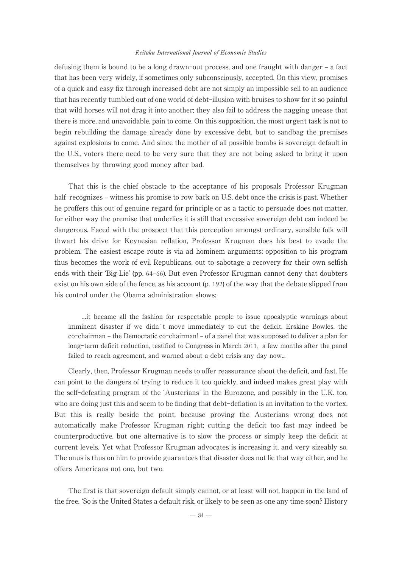defusing them is bound to be a long drawn-out process, and one fraught with danger – a fact that has been very widely, if sometimes only subconsciously, accepted. On this view, promises of a quick and easy fix through increased debt are not simply an impossible sell to an audience that has recently tumbled out of one world of debt-illusion with bruises to show for it so painful that wild horses will not drag it into another; they also fail to address the nagging unease that there is more, and unavoidable, pain to come. On this supposition, the most urgent task is not to begin rebuilding the damage already done by excessive debt, but to sandbag the premises against explosions to come. And since the mother of all possible bombs is sovereign default in the U.S., voters there need to be very sure that they are not being asked to bring it upon themselves by throwing good money after bad.

That this is the chief obstacle to the acceptance of his proposals Professor Krugman half-recognizes – witness his promise to row back on U.S. debt once the crisis is past. Whether he proffers this out of genuine regard for principle or as a tactic to persuade does not matter, for either way the premise that underlies it is still that excessive sovereign debt can indeed be dangerous. Faced with the prospect that this perception amongst ordinary, sensible folk will thwart his drive for Keynesian reflation, Professor Krugman does his best to evade the problem. The easiest escape route is via ad hominem arguments; opposition to his program thus becomes the work of evil Republicans, out to sabotage a recovery for their own selfish ends with their ʻBig Lie' (pp. 64-66). But even Professor Krugman cannot deny that doubters exist on his own side of the fence, as his account (p. 192) of the way that the debate slipped from his control under the Obama administration shows:

…it became all the fashion for respectable people to issue apocalyptic warnings about imminent disaster if we didn't move immediately to cut the deficit. Erskine Bowles, the co-chairman – the Democratic co-chairman! – of a panel that was supposed to deliver a plan for long-term deficit reduction, testified to Congress in March 2011, a few months after the panel failed to reach agreement, and warned about a debt crisis any day now...

Clearly, then, Professor Krugman needs to offer reassurance about the deficit, and fast. He can point to the dangers of trying to reduce it too quickly, and indeed makes great play with the self-defeating program of the ʻAusterians' in the Eurozone, and possibly in the U.K. too, who are doing just this and seem to be finding that debt-deflation is an invitation to the vortex. But this is really beside the point, because proving the Austerians wrong does not automatically make Professor Krugman right; cutting the deficit too fast may indeed be counterproductive, but one alternative is to slow the process or simply keep the deficit at current levels. Yet what Professor Krugman advocates is increasing it, and very sizeably so. The onus is thus on him to provide guarantees that disaster does not lie that way either, and he offers Americans not one, but two.

The first is that sovereign default simply cannot, or at least will not, happen in the land of the free. ʻSo is the United States a default risk, or likely to be seen as one any time soon? History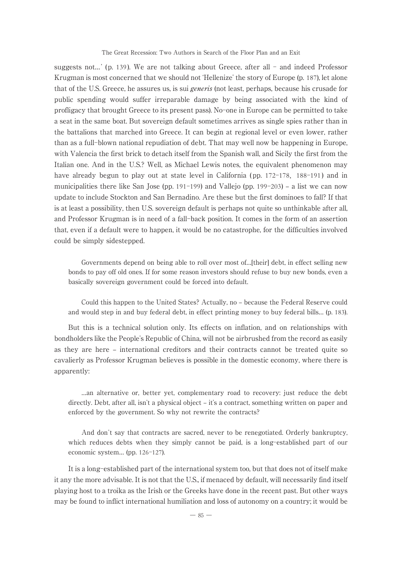The Great Recession: Two Authors in Search of the Floor Plan and an Exit

suggests not...' (p. 139). We are not talking about Greece, after all  $-$  and indeed Professor Krugman is most concerned that we should not ʻHellenize' the story of Europe (p. 187), let alone that of the U.S. Greece, he assures us, is sui *generis* (not least, perhaps, because his crusade for public spending would suffer irreparable damage by being associated with the kind of profligacy that brought Greece to its present pass). No-one in Europe can be permitted to take a seat in the same boat. But sovereign default sometimes arrives as single spies rather than in the battalions that marched into Greece. It can begin at regional level or even lower, rather than as a full-blown national repudiation of debt. That may well now be happening in Europe, with Valencia the first brick to detach itself from the Spanish wall, and Sicily the first from the Italian one. And in the U.S.? Well, as Michael Lewis notes, the equivalent phenomenon may have already begun to play out at state level in California (pp. 172–178, 188–191) and in municipalities there like San Jose (pp. 191-199) and Vallejo (pp. 199-203) – a list we can now update to include Stockton and San Bernadino. Are these but the first dominoes to fall? If that is at least a possibility, then U.S. sovereign default is perhaps not quite so unthinkable after all, and Professor Krugman is in need of a fall-back position. It comes in the form of an assertion that, even if a default were to happen, it would be no catastrophe, for the difficulties involved could be simply sidestepped.

Governments depend on being able to roll over most of…[their] debt, in effect selling new bonds to pay off old ones. If for some reason investors should refuse to buy new bonds, even a basically sovereign government could be forced into default.

Could this happen to the United States? Actually, no ‒ because the Federal Reserve could and would step in and buy federal debt, in effect printing money to buy federal bills… (p. 183).

But this is a technical solution only. Its effects on inflation, and on relationships with bondholders like the People's Republic of China, will not be airbrushed from the record as easily as they are here – international creditors and their contracts cannot be treated quite so cavalierly as Professor Krugman believes is possible in the domestic economy, where there is apparently:

…an alternative or, better yet, complementary road to recovery: just reduce the debt directly. Debt, after all, isn't a physical object – it's a contract, something written on paper and enforced by the government. So why not rewrite the contracts?

And don't say that contracts are sacred, never to be renegotiated. Orderly bankruptcy, which reduces debts when they simply cannot be paid, is a long-established part of our economic system… (pp. 126-127).

It is a long-established part of the international system too, but that does not of itself make it any the more advisable. It is not that the U.S., if menaced by default, will necessarily find itself playing host to a troika as the Irish or the Greeks have done in the recent past. But other ways may be found to inflict international humiliation and loss of autonomy on a country; it would be